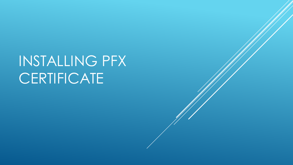## INSTALLING PFX **CERTIFICATE**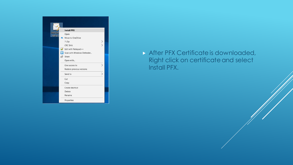

After PFX Certificate is downloaded, Right click on certificate and select Install PFX.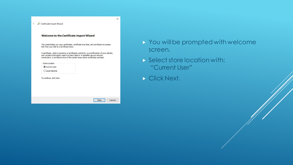| ← <b>Le</b> Certificate Import Wizard                                                                                                                                                                                                                               | $\times$ |
|---------------------------------------------------------------------------------------------------------------------------------------------------------------------------------------------------------------------------------------------------------------------|----------|
| Welcome to the Certificate Import Wizard                                                                                                                                                                                                                            |          |
| This wizard helps you copy certificates, certificate trust lists, and certificate revocation<br>lists from your disk to a certificate store.                                                                                                                        |          |
| A certificate, which is issued by a certification authority, is a confirmation of your identity<br>and contains information used to protect data or to establish secure network<br>connections. A certificate store is the system area where certificates are kept. |          |
| Store Location<br>Current User                                                                                                                                                                                                                                      |          |
| O Local Machine                                                                                                                                                                                                                                                     |          |
| To continue, click Next.                                                                                                                                                                                                                                            |          |
|                                                                                                                                                                                                                                                                     |          |
| Cancel<br>Next                                                                                                                                                                                                                                                      |          |

- ▶ You will be prompted with welcome screen.
- Select store location with: "Current User"
- Click Next.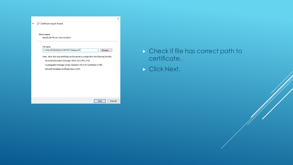

- Check if file has correct path to certificate.
- Click Next.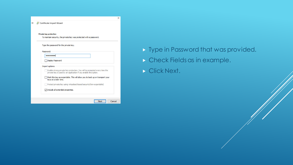| <b>Private key protection</b>                                                                                                                 |
|-----------------------------------------------------------------------------------------------------------------------------------------------|
| To maintain security, the private key was protected with a password.                                                                          |
| Type the password for the private key.                                                                                                        |
| Password:                                                                                                                                     |
|                                                                                                                                               |
| Display Password                                                                                                                              |
| Import options:                                                                                                                               |
| Enable strong private key protection. You will be prompted every time the<br>private key is used by an application if you enable this option. |
| Mark this key as exportable. This will allow you to back up or transport your<br>keys at a later time.                                        |
| Protect private key using virtualized-based security(Non-exportable)                                                                          |
| $\triangledown$ Include all extended properties.                                                                                              |

- ▶ Type in Password that was provided.
- Check Fields as in example.
- Click Next.

 $\times$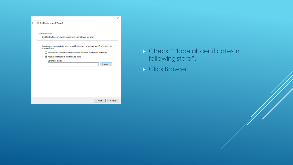|                                                                                                             | $\times$ |  |  |  |  |
|-------------------------------------------------------------------------------------------------------------|----------|--|--|--|--|
| ← Certificate Import Wizard                                                                                 |          |  |  |  |  |
| <b>Certificate Store</b>                                                                                    |          |  |  |  |  |
| Certificate stores are system areas where certificates are kept.                                            |          |  |  |  |  |
| Windows can automatically select a certificate store, or you can specify a location for<br>the certificate. |          |  |  |  |  |
| $\bigcirc$ Automatically select the certificate store based on the type of certificate                      |          |  |  |  |  |
| I Place all certificates in the following store                                                             |          |  |  |  |  |
| Certificate store:                                                                                          |          |  |  |  |  |
| Browse                                                                                                      |          |  |  |  |  |
|                                                                                                             |          |  |  |  |  |
|                                                                                                             |          |  |  |  |  |
|                                                                                                             |          |  |  |  |  |
|                                                                                                             |          |  |  |  |  |
|                                                                                                             |          |  |  |  |  |
|                                                                                                             |          |  |  |  |  |
|                                                                                                             |          |  |  |  |  |
|                                                                                                             |          |  |  |  |  |
| Cancel<br>Next                                                                                              |          |  |  |  |  |

- Check "Place all certificates in following store".
- Click Browse.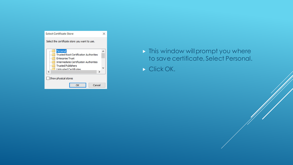

- $\triangleright$  This window will prompt you where to save certificate, Select Personal.
- Click OK.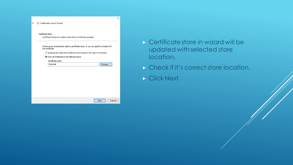|                                                                                        | ← Certificate Import Wizard |  |                                                                                         |        |  |
|----------------------------------------------------------------------------------------|-----------------------------|--|-----------------------------------------------------------------------------------------|--------|--|
| <b>Certificate Store</b>                                                               |                             |  |                                                                                         |        |  |
| Certificate stores are system areas where certificates are kept.                       |                             |  |                                                                                         |        |  |
|                                                                                        | the certificate.            |  | Windows can automatically select a certificate store, or you can specify a location for |        |  |
| $\bigcirc$ Automatically select the certificate store based on the type of certificate |                             |  |                                                                                         |        |  |
| I Place all certificates in the following store                                        |                             |  |                                                                                         |        |  |
|                                                                                        | Certificate store:          |  |                                                                                         |        |  |
|                                                                                        | Personal                    |  |                                                                                         | Browse |  |
|                                                                                        |                             |  |                                                                                         |        |  |
|                                                                                        |                             |  |                                                                                         |        |  |
|                                                                                        |                             |  |                                                                                         |        |  |
|                                                                                        |                             |  |                                                                                         |        |  |
|                                                                                        |                             |  |                                                                                         |        |  |
|                                                                                        |                             |  |                                                                                         |        |  |
|                                                                                        |                             |  |                                                                                         |        |  |
|                                                                                        |                             |  |                                                                                         |        |  |

- Certificate store in wizard will be updated with selected store location.
- Check if it's correct store location.
- Click Next.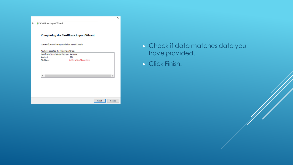| The certificate will be imported after you dick Finish.<br>You have specified the following settings:<br>Certificate Store Selected by User Personal<br>Content<br>PFX<br>File Name<br>C:\Users\YourFileLocation |  | <b>Completing the Certificate Import Wizard</b> |  |
|------------------------------------------------------------------------------------------------------------------------------------------------------------------------------------------------------------------|--|-------------------------------------------------|--|
|                                                                                                                                                                                                                  |  |                                                 |  |
|                                                                                                                                                                                                                  |  |                                                 |  |
|                                                                                                                                                                                                                  |  |                                                 |  |
|                                                                                                                                                                                                                  |  |                                                 |  |
|                                                                                                                                                                                                                  |  |                                                 |  |
|                                                                                                                                                                                                                  |  |                                                 |  |
|                                                                                                                                                                                                                  |  |                                                 |  |
| €                                                                                                                                                                                                                |  |                                                 |  |
|                                                                                                                                                                                                                  |  |                                                 |  |
|                                                                                                                                                                                                                  |  |                                                 |  |
|                                                                                                                                                                                                                  |  |                                                 |  |
|                                                                                                                                                                                                                  |  |                                                 |  |
|                                                                                                                                                                                                                  |  |                                                 |  |

 $\times$ 

- Check if data matches data you have provided.
- Click Finish.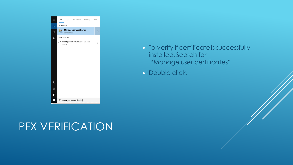

## $\triangleright$  To verify if certificate is successfully installed, Search for "Manage user certificates"

Double click.

## PFX VERIFICATION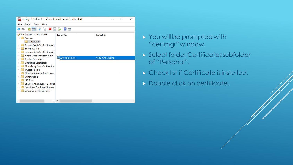

- **> You will be prompted with** "certmgr" window.
- Select folder Certificates subfolder of "Personal".
- **Check list if Certificate is installed.**
- **Double click on certificate.**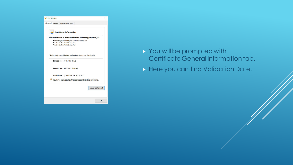

- ▶ You will be prompted with Certificate General Information tab.
- Here you can find Validation Date.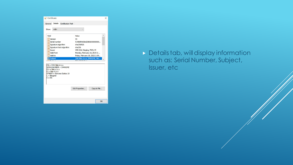| General Details Certification Path<br>$<$ All $>$<br>Show:<br>A<br>Field<br>Value<br>Version<br>V <sub>3</sub><br>Serial number<br>5198bfd4dbbd2886000000000<br>Signature algorithm<br>sha256RSA<br>Signature hash algorithm<br>sha256<br>Issuer<br>VMS ICA1 Staging, FRCS, FJ<br>Valid from<br>Monday, February 18, 2019 2:<br>Valid to<br>Friday, February 18, 2022 2:39<br>JJ4K Nikic d.o.o, JJ4KN2MZ, Niki<br>Subject<br><b>ALL PORT</b><br><b>BAL ISAIA BY 1</b><br>$CN = JJ4K$ Nikic d.o.o<br>SERIALNUMBER = JJ4KN2MZ<br>$QU = Nikic d.o.o.$<br>$Q = Nikic d.o.o$<br>STREET = Stevana Dukica 10<br>$L = Beograd$<br>$C = RS$ | <b>e</b> Certificate |  | × |
|------------------------------------------------------------------------------------------------------------------------------------------------------------------------------------------------------------------------------------------------------------------------------------------------------------------------------------------------------------------------------------------------------------------------------------------------------------------------------------------------------------------------------------------------------------------------------------------------------------------------------------|----------------------|--|---|
|                                                                                                                                                                                                                                                                                                                                                                                                                                                                                                                                                                                                                                    |                      |  |   |
|                                                                                                                                                                                                                                                                                                                                                                                                                                                                                                                                                                                                                                    |                      |  |   |
|                                                                                                                                                                                                                                                                                                                                                                                                                                                                                                                                                                                                                                    |                      |  |   |
| <b>Edit Properties</b><br>Copy to File                                                                                                                                                                                                                                                                                                                                                                                                                                                                                                                                                                                             |                      |  |   |
| OK                                                                                                                                                                                                                                                                                                                                                                                                                                                                                                                                                                                                                                 |                      |  |   |

Details tab, will display information such as: Serial Number, Subject, Issuer, etc